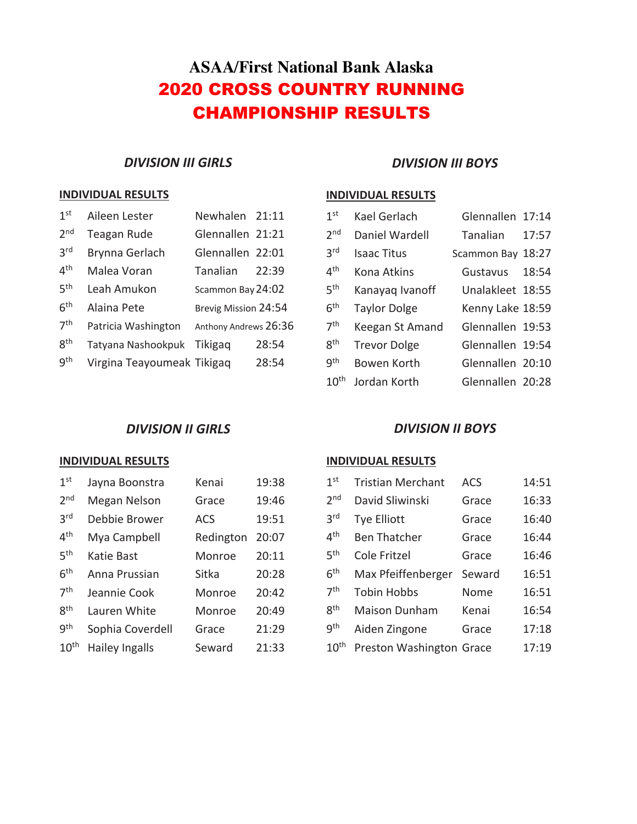# **ASAA/First National Bank Alaska** 2020 CROSS COUNTRY RUNNING CHAMPIONSHIP RESULTS

## *DIVISION III GIRLS*

#### **INDIVIDUAL RESULTS**

| 1 <sup>st</sup> | Aileen Lester              | Newhalen 21:11        |       |
|-----------------|----------------------------|-----------------------|-------|
| 2 <sub>nd</sub> | Teagan Rude                | Glennallen 21:21      |       |
| 3 <sup>rd</sup> | Brynna Gerlach             | Glennallen 22:01      |       |
| 4 <sup>th</sup> | Malea Voran                | Tanalian              | 22:39 |
| 5 <sup>th</sup> | Leah Amukon                | Scammon Bay 24:02     |       |
| 6 <sup>th</sup> | Alaina Pete                | Brevig Mission 24:54  |       |
| 7 <sup>th</sup> | Patricia Washington        | Anthony Andrews 26:36 |       |
| 8 <sup>th</sup> | Tatyana Nashookpuk         | <b>Tikigag</b>        | 28:54 |
| gth             | Virgina Teayoumeak Tikigaq |                       | 28:54 |

### *DIVISION III BOYS*

### **INDIVIDUAL RESULTS**

| 1 <sup>st</sup>  | Kael Gerlach        | Glennallen 17:14  |       |
|------------------|---------------------|-------------------|-------|
| 2 <sub>nd</sub>  | Daniel Wardell      | Tanalian          | 17:57 |
| 3 <sup>rd</sup>  | <b>Isaac Titus</b>  | Scammon Bay 18:27 |       |
| 4 <sup>th</sup>  | Kona Atkins         | Gustavus          | 18:54 |
| 5 <sup>th</sup>  | Kanayaq Ivanoff     | Unalakleet 18:55  |       |
| 6 <sup>th</sup>  | <b>Taylor Dolge</b> | Kenny Lake 18:59  |       |
| 7 <sup>th</sup>  | Keegan St Amand     | Glennallen 19:53  |       |
| 8 <sup>th</sup>  | <b>Trevor Dolge</b> | Glennallen 19:54  |       |
| q <sup>th</sup>  | Bowen Korth         | Glennallen 20:10  |       |
| 10 <sup>th</sup> | Jordan Korth        | Glennallen 20:28  |       |

## *DIVISION II GIRLS*

#### **INDIVIDUAL RESULTS**

| 1 <sup>st</sup>  | Jayna Boonstra        | Kenai      | 19:38 |
|------------------|-----------------------|------------|-------|
| 2 <sub>nd</sub>  | Megan Nelson          | Grace      | 19:46 |
| 3 <sup>rd</sup>  | Debbie Brower         | <b>ACS</b> | 19:51 |
| 4 <sup>th</sup>  | Mya Campbell          | Redington  | 20:07 |
| 5 <sup>th</sup>  | Katie Bast            | Monroe     | 20:11 |
| 6 <sup>th</sup>  | Anna Prussian         | Sitka      | 20:28 |
| 7 <sup>th</sup>  | Jeannie Cook          | Monroe     | 20:42 |
| gth              | Lauren White          | Monroe     | 20:49 |
| gth              | Sophia Coverdell      | Grace      | 21:29 |
| $10^{\text{th}}$ | <b>Hailey Ingalls</b> | Seward     | 21:33 |

#### *DIVISION II BOYS*

#### **INDIVIDUAL RESULTS**

| 1 <sup>st</sup>  | <b>Tristian Merchant</b> | ACS    | 14:51 |
|------------------|--------------------------|--------|-------|
| 2 <sub>nd</sub>  | David Sliwinski          | Grace  | 16:33 |
| 3 <sup>rd</sup>  | Tye Elliott              | Grace  | 16:40 |
| 4 <sup>th</sup>  | <b>Ben Thatcher</b>      | Grace  | 16:44 |
| 5 <sup>th</sup>  | Cole Fritzel             | Grace  | 16:46 |
| 6 <sup>th</sup>  | Max Pfeiffenberger       | Seward | 16:51 |
| 7 <sup>th</sup>  | <b>Tobin Hobbs</b>       | Nome   | 16:51 |
| 8 <sup>th</sup>  | <b>Maison Dunham</b>     | Kenai  | 16:54 |
| gth              | Aiden Zingone            | Grace  | 17:18 |
| 10 <sup>th</sup> | Preston Washington Grace |        | 17:19 |